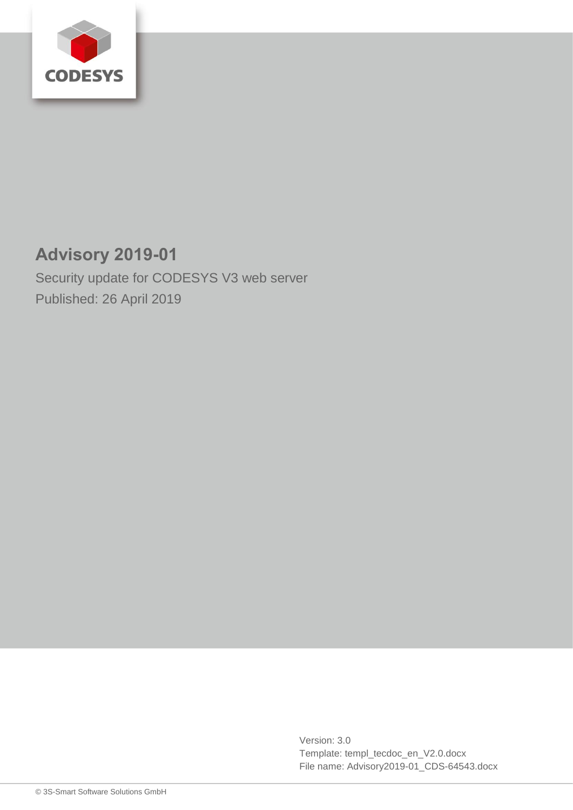

# **Advisory 2019-01**

Security update for CODESYS V3 web server Published: 26 April 2019

> Version: 3.0 Template: templ\_tecdoc\_en\_V2.0.docx File name: Advisory2019-01\_CDS-64543.docx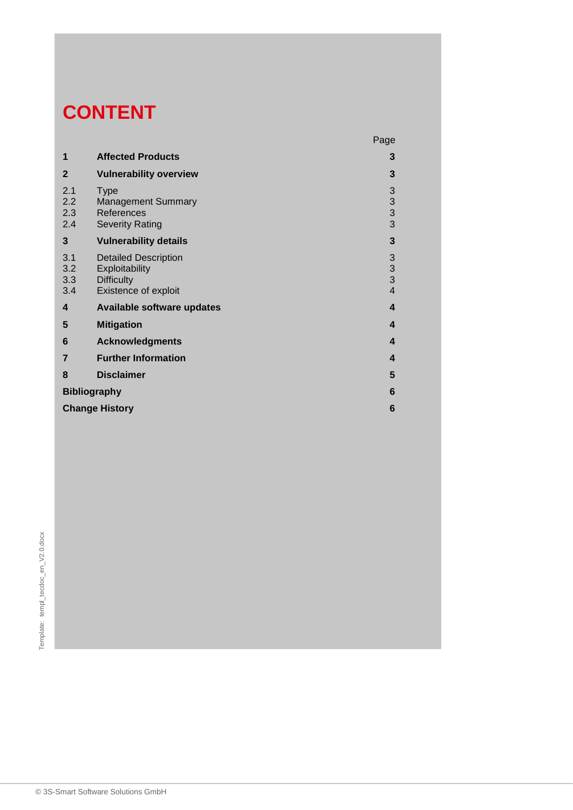# **CONTENT**

|                          |                                                                                            | Page                                                                  |
|--------------------------|--------------------------------------------------------------------------------------------|-----------------------------------------------------------------------|
| 1                        | <b>Affected Products</b>                                                                   | 3                                                                     |
| $\mathbf{2}$             | <b>Vulnerability overview</b>                                                              | 3                                                                     |
| 2.1<br>2.2<br>2.3<br>2.4 | <b>Type</b><br><b>Management Summary</b><br>References<br><b>Severity Rating</b>           | $\begin{array}{c} 3 \\ 3 \\ 3 \end{array}$                            |
| 3                        | <b>Vulnerability details</b>                                                               | $\mathbf{3}$                                                          |
| 3.1<br>3.2<br>3.3<br>3.4 | <b>Detailed Description</b><br>Exploitability<br><b>Difficulty</b><br>Existence of exploit | $\begin{array}{c} 3 \\ 3 \\ 3 \end{array}$<br>$\overline{\mathbf{4}}$ |
| $\boldsymbol{4}$         | <b>Available software updates</b>                                                          | $\overline{\mathbf{4}}$                                               |
| 5                        | <b>Mitigation</b>                                                                          | 4                                                                     |
| 6                        | <b>Acknowledgments</b>                                                                     | 4                                                                     |
| $\overline{7}$           | <b>Further Information</b>                                                                 | 4                                                                     |
| 8                        | <b>Disclaimer</b>                                                                          | 5                                                                     |
| <b>Bibliography</b>      |                                                                                            | 6                                                                     |
| <b>Change History</b>    |                                                                                            |                                                                       |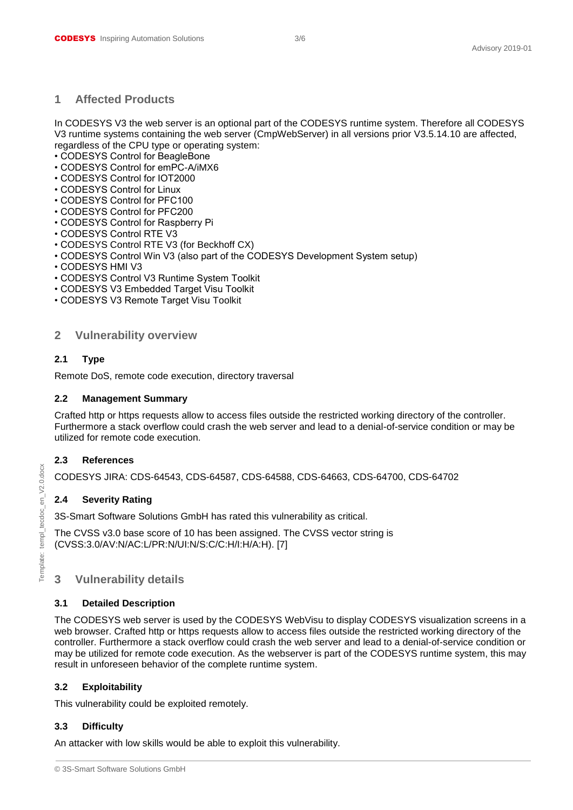#### <span id="page-2-0"></span>**1 Affected Products**

In CODESYS V3 the web server is an optional part of the CODESYS runtime system. Therefore all CODESYS V3 runtime systems containing the web server (CmpWebServer) in all versions prior V3.5.14.10 are affected, regardless of the CPU type or operating system:

- CODESYS Control for BeagleBone
- CODESYS Control for emPC-A/iMX6
- CODESYS Control for IOT2000
- CODESYS Control for Linux
- CODESYS Control for PFC100
- CODESYS Control for PFC200
- CODESYS Control for Raspberry Pi
- CODESYS Control RTE V3
- CODESYS Control RTE V3 (for Beckhoff CX)
- CODESYS Control Win V3 (also part of the CODESYS Development System setup)
- CODESYS HMI V3
- CODESYS Control V3 Runtime System Toolkit
- CODESYS V3 Embedded Target Visu Toolkit
- <span id="page-2-1"></span>• CODESYS V3 Remote Target Visu Toolkit

#### **2 Vulnerability overview**

#### <span id="page-2-2"></span>**2.1 Type**

Remote DoS, remote code execution, directory traversal

#### <span id="page-2-3"></span>**2.2 Management Summary**

Crafted http or https requests allow to access files outside the restricted working directory of the controller. Furthermore a stack overflow could crash the web server and lead to a denial-of-service condition or may be utilized for remote code execution.

#### <span id="page-2-4"></span>**2.3 References**

CODESYS JIRA: CDS-64543, CDS-64587, CDS-64588, CDS-64663, CDS-64700, CDS-64702

#### <span id="page-2-5"></span>**2.4 Severity Rating**

3S-Smart Software Solutions GmbH has rated this vulnerability as critical.

The CVSS v3.0 base score of 10 has been assigned. The CVSS vector string is (CVSS:3.0/AV:N/AC:L/PR:N/UI:N/S:C/C:H/I:H/A:H). [7]

# <span id="page-2-6"></span>**3 Vulnerability details**

#### <span id="page-2-7"></span>**3.1 Detailed Description**

The CODESYS web server is used by the CODESYS WebVisu to display CODESYS visualization screens in a web browser. Crafted http or https requests allow to access files outside the restricted working directory of the controller. Furthermore a stack overflow could crash the web server and lead to a denial-of-service condition or may be utilized for remote code execution. As the webserver is part of the CODESYS runtime system, this may result in unforeseen behavior of the complete runtime system.

#### <span id="page-2-8"></span>**3.2 Exploitability**

This vulnerability could be exploited remotely.

#### <span id="page-2-9"></span>**3.3 Difficulty**

An attacker with low skills would be able to exploit this vulnerability.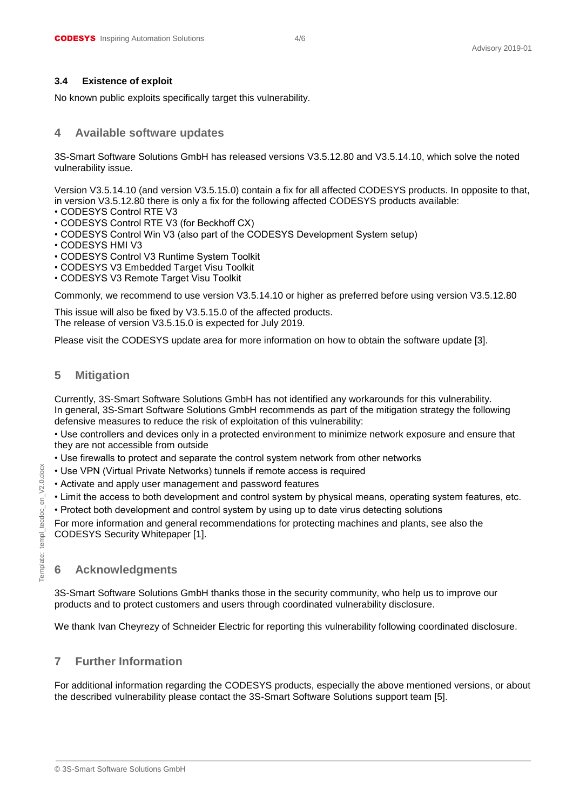#### <span id="page-3-0"></span>**3.4 Existence of exploit**

<span id="page-3-1"></span>No known public exploits specifically target this vulnerability.

#### **4 Available software updates**

3S-Smart Software Solutions GmbH has released versions V3.5.12.80 and V3.5.14.10, which solve the noted vulnerability issue.

Version V3.5.14.10 (and version V3.5.15.0) contain a fix for all affected CODESYS products. In opposite to that, in version V3.5.12.80 there is only a fix for the following affected CODESYS products available:

- CODESYS Control RTE V3
- CODESYS Control RTE V3 (for Beckhoff CX)
- CODESYS Control Win V3 (also part of the CODESYS Development System setup)
- CODESYS HMI V3
- CODESYS Control V3 Runtime System Toolkit
- CODESYS V3 Embedded Target Visu Toolkit
- CODESYS V3 Remote Target Visu Toolkit

Commonly, we recommend to use version V3.5.14.10 or higher as preferred before using version V3.5.12.80

This issue will also be fixed by V3.5.15.0 of the affected products. The release of version V3.5.15.0 is expected for July 2019.

<span id="page-3-2"></span>Please visit the CODESYS update area for more information on how to obtain the software update [3].

#### **5 Mitigation**

Currently, 3S-Smart Software Solutions GmbH has not identified any workarounds for this vulnerability. In general, 3S-Smart Software Solutions GmbH recommends as part of the mitigation strategy the following defensive measures to reduce the risk of exploitation of this vulnerability:

• Use controllers and devices only in a protected environment to minimize network exposure and ensure that they are not accessible from outside

- Use firewalls to protect and separate the control system network from other networks
- Use VPN (Virtual Private Networks) tunnels if remote access is required
- Activate and apply user management and password features
- Limit the access to both development and control system by physical means, operating system features, etc.
- Protect both development and control system by using up to date virus detecting solutions

<span id="page-3-3"></span>For more information and general recommendations for protecting machines and plants, see also the CODESYS Security Whitepaper [1].

#### **6 Acknowledgments**

3S-Smart Software Solutions GmbH thanks those in the security community, who help us to improve our products and to protect customers and users through coordinated vulnerability disclosure.

<span id="page-3-4"></span>We thank Ivan Cheyrezy of Schneider Electric for reporting this vulnerability following coordinated disclosure.

# **7 Further Information**

For additional information regarding the CODESYS products, especially the above mentioned versions, or about the described vulnerability please contact the 3S-Smart Software Solutions support team [5].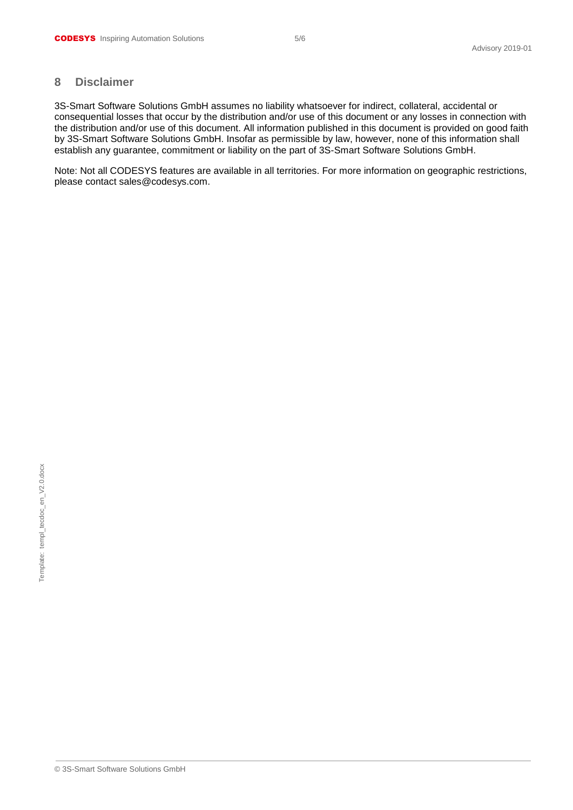#### <span id="page-4-0"></span>**8 Disclaimer**

3S-Smart Software Solutions GmbH assumes no liability whatsoever for indirect, collateral, accidental or consequential losses that occur by the distribution and/or use of this document or any losses in connection with the distribution and/or use of this document. All information published in this document is provided on good faith by 3S-Smart Software Solutions GmbH. Insofar as permissible by law, however, none of this information shall establish any guarantee, commitment or liability on the part of 3S-Smart Software Solutions GmbH.

Note: Not all CODESYS features are available in all territories. For more information on geographic restrictions, please contact sales@codesys.com.